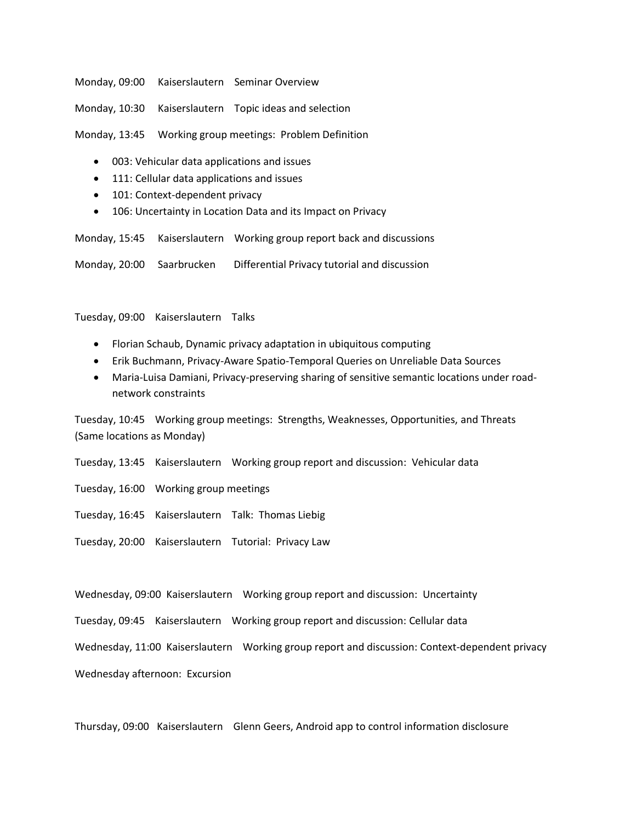Monday, 09:00 Kaiserslautern Seminar Overview

Monday, 10:30 Kaiserslautern Topic ideas and selection

Monday, 13:45 Working group meetings: Problem Definition

- 003: Vehicular data applications and issues
- 111: Cellular data applications and issues
- 101: Context-dependent privacy
- 106: Uncertainty in Location Data and its Impact on Privacy

Monday, 15:45 Kaiserslautern Working group report back and discussions

Monday, 20:00 Saarbrucken Differential Privacy tutorial and discussion

Tuesday, 09:00 Kaiserslautern Talks

- Florian Schaub, Dynamic privacy adaptation in ubiquitous computing
- Erik Buchmann, Privacy-Aware Spatio-Temporal Queries on Unreliable Data Sources
- Maria-Luisa Damiani, Privacy-preserving sharing of sensitive semantic locations under roadnetwork constraints

Tuesday, 10:45 Working group meetings: Strengths, Weaknesses, Opportunities, and Threats (Same locations as Monday)

- Tuesday, 13:45 Kaiserslautern Working group report and discussion: Vehicular data
- Tuesday, 16:00 Working group meetings
- Tuesday, 16:45 Kaiserslautern Talk: Thomas Liebig
- Tuesday, 20:00 Kaiserslautern Tutorial: Privacy Law

Wednesday, 09:00 Kaiserslautern Working group report and discussion: Uncertainty

Tuesday, 09:45 Kaiserslautern Working group report and discussion: Cellular data

Wednesday, 11:00 Kaiserslautern Working group report and discussion: Context-dependent privacy

Wednesday afternoon: Excursion

Thursday, 09:00 Kaiserslautern Glenn Geers, Android app to control information disclosure